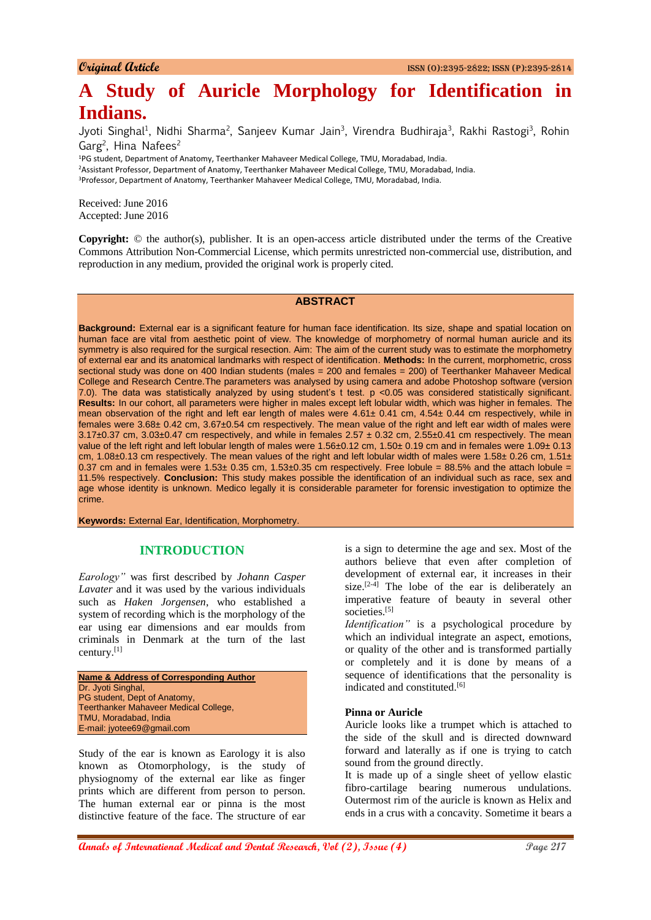# **A Study of Auricle Morphology for Identification in Indians.**

Jyoti Singhal<sup>1</sup>, Nidhi Sharma<sup>2</sup>, Sanjeev Kumar Jain<sup>3</sup>, Virendra Budhiraja<sup>3</sup>, Rakhi Rastogi<sup>3</sup>, Rohin Garg<sup>2</sup>, Hina Nafees<sup>2</sup>

<sup>1</sup>PG student, Department of Anatomy, Teerthanker Mahaveer Medical College, TMU, Moradabad, India. <sup>2</sup>Assistant Professor, Department of Anatomy, Teerthanker Mahaveer Medical College, TMU, Moradabad, India. <sup>3</sup>Professor, Department of Anatomy, Teerthanker Mahaveer Medical College, TMU, Moradabad, India.

Received: June 2016 Accepted: June 2016

**Copyright:** © the author(s), publisher. It is an open-access article distributed under the terms of the Creative Commons Attribution Non-Commercial License, which permits unrestricted non-commercial use, distribution, and reproduction in any medium, provided the original work is properly cited.

## **ABSTRACT**

**Background:** External ear is a significant feature for human face identification. Its size, shape and spatial location on human face are vital from aesthetic point of view. The knowledge of morphometry of normal human auricle and its symmetry is also required for the surgical resection. Aim: The aim of the current study was to estimate the morphometry of external ear and its anatomical landmarks with respect of identification. **Methods:** In the current, morphometric, cross sectional study was done on 400 Indian students (males = 200 and females = 200) of Teerthanker Mahaveer Medical College and Research Centre.The parameters was analysed by using camera and adobe Photoshop software (version 7.0). The data was statistically analyzed by using student's t test. p <0.05 was considered statistically significant. **Results:** In our cohort, all parameters were higher in males except left lobular width, which was higher in females. The mean observation of the right and left ear length of males were 4.61± 0.41 cm, 4.54± 0.44 cm respectively, while in females were 3.68± 0.42 cm, 3.67±0.54 cm respectively. The mean value of the right and left ear width of males were  $3.17\pm0.37$  cm,  $3.03\pm0.47$  cm respectively, and while in females  $2.57\pm0.32$  cm,  $2.55\pm0.41$  cm respectively. The mean value of the left right and left lobular length of males were 1.56±0.12 cm, 1.50± 0.19 cm and in females were 1.09± 0.13 cm, 1.08 $\pm$ 0.13 cm respectively. The mean values of the right and left lobular width of males were 1.58 $\pm$  0.26 cm, 1.51 $\pm$ 0.37 cm and in females were  $1.53\pm0.35$  cm,  $1.53\pm0.35$  cm respectively. Free lobule = 88.5% and the attach lobule = 11.5% respectively. **Conclusion:** This study makes possible the identification of an individual such as race, sex and age whose identity is unknown. Medico legally it is considerable parameter for forensic investigation to optimize the crime.

**Keywords:** External Ear, Identification, Morphometry.

#### **INTRODUCTION**

*Earology"* was first described by *Johann Casper Lavater* and it was used by the various individuals such as *Haken Jorgensen*, who established a system of recording which is the morphology of the ear using ear dimensions and ear moulds from criminals in Denmark at the turn of the last century.[1]

```
Name & Address of Corresponding Author
Dr. Jvoti Singhal.
PG student, Dept of Anatomy,
Teerthanker Mahaveer Medical College, 
TMU, Moradabad, India
E-mail: jyotee69@gmail.com
```
Study of the ear is known as Earology it is also known as Otomorphology, is the study of physiognomy of the external ear like as finger prints which are different from person to person. The human external ear or pinna is the most distinctive feature of the face. The structure of ear

is a sign to determine the age and sex. Most of the authors believe that even after completion of development of external ear, it increases in their size.<sup>[2-4]</sup> The lobe of the ear is deliberately an imperative feature of beauty in several other societies.<sup>[5]</sup>

*Identification"* is a psychological procedure by which an individual integrate an aspect, emotions, or quality of the other and is transformed partially or completely and it is done by means of a sequence of identifications that the personality is indicated and constituted.<sup>[6]</sup>

#### **Pinna or Auricle**

Auricle looks like a trumpet which is attached to the side of the skull and is directed downward forward and laterally as if one is trying to catch sound from the ground directly.

It is made up of a single sheet of yellow elastic fibro-cartilage bearing numerous undulations. Outermost rim of the auricle is known as Helix and ends in a crus with a concavity. Sometime it bears a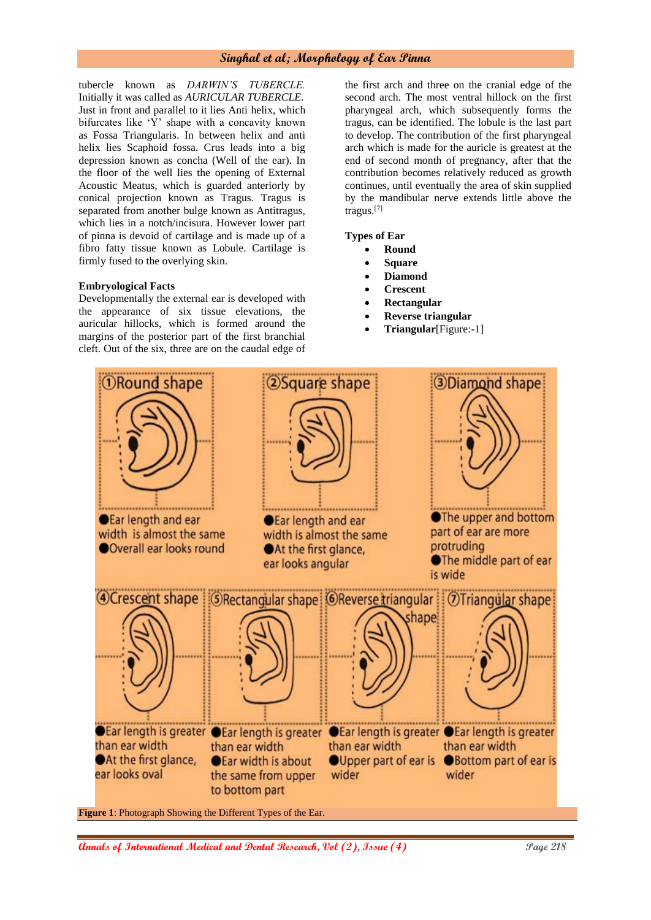tubercle known as *DARWIN'S TUBERCLE.* Initially it was called as *AURICULAR TUBERCLE.* Just in front and parallel to it lies Anti helix, which bifurcates like 'Y' shape with a concavity known as Fossa Triangularis. In between helix and anti helix lies Scaphoid fossa. Crus leads into a big depression known as concha (Well of the ear). In the floor of the well lies the opening of External Acoustic Meatus, which is guarded anteriorly by conical projection known as Tragus. Tragus is separated from another bulge known as Antitragus, which lies in a notch/incisura. However lower part of pinna is devoid of cartilage and is made up of a fibro fatty tissue known as Lobule. Cartilage is firmly fused to the overlying skin.

#### **Embryological Facts**

Developmentally the external ear is developed with the appearance of six tissue elevations, the auricular hillocks, which is formed around the margins of the posterior part of the first branchial cleft. Out of the six, three are on the caudal edge of

the first arch and three on the cranial edge of the second arch. The most ventral hillock on the first pharyngeal arch, which subsequently forms the tragus, can be identified. The lobule is the last part to develop. The contribution of the first pharyngeal arch which is made for the auricle is greatest at the end of second month of pregnancy, after that the contribution becomes relatively reduced as growth continues, until eventually the area of skin supplied by the mandibular nerve extends little above the tragus.[7]

**Types of Ear**

- **Round**
- **Square**
- **Diamond**
- **Crescent**
- **Rectangular**
- **Reverse triangular**
- **Triangular**[Figure:-1]



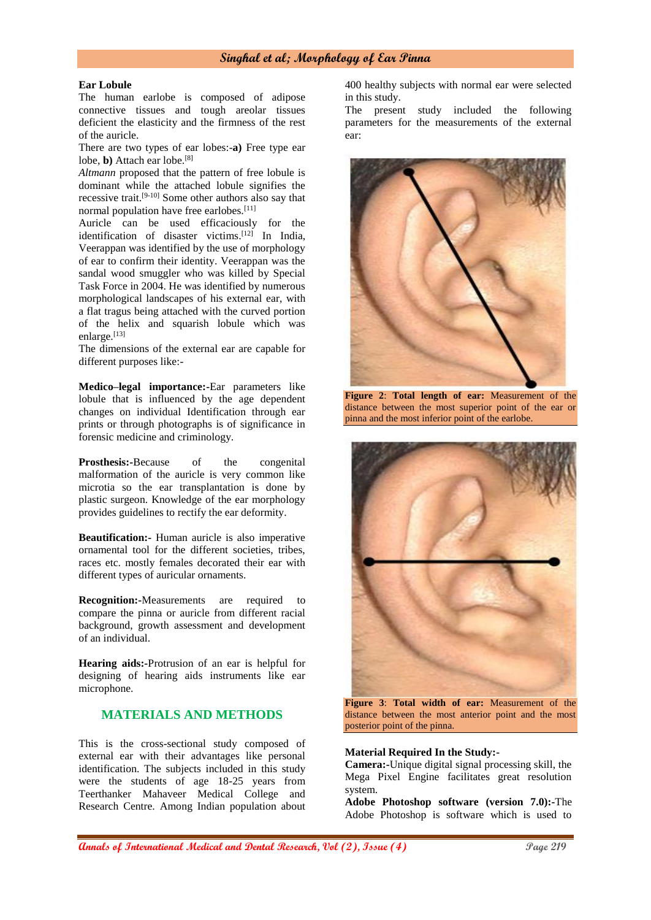#### **Ear Lobule**

The human earlobe is composed of adipose connective tissues and tough areolar tissues deficient the elasticity and the firmness of the rest of the auricle.

There are two types of ear lobes:-**a)** Free type ear lobe, **b**) Attach ear lobe.<sup>[8]</sup>

*Altmann* proposed that the pattern of free lobule is dominant while the attached lobule signifies the recessive trait.<sup>[9-10]</sup> Some other authors also say that normal population have free earlobes.<sup>[11]</sup>

Auricle can be used efficaciously for the identification of disaster victims. [12] In India, Veerappan was identified by the use of morphology of ear to confirm their identity. Veerappan was the sandal wood smuggler who was killed by Special Task Force in 2004. He was identified by numerous morphological landscapes of his external ear, with a flat tragus being attached with the curved portion of the helix and squarish lobule which was enlarge.<sup>[13]</sup>

The dimensions of the external ear are capable for different purposes like:-

**Medico–legal importance:-**Ear parameters like lobule that is influenced by the age dependent changes on individual Identification through ear prints or through photographs is of significance in forensic medicine and criminology.

**Prosthesis:-**Because of the congenital malformation of the auricle is very common like microtia so the ear transplantation is done by plastic surgeon. Knowledge of the ear morphology provides guidelines to rectify the ear deformity.

**Beautification:-** Human auricle is also imperative ornamental tool for the different societies, tribes, races etc. mostly females decorated their ear with different types of auricular ornaments.

**Recognition:-**Measurements are required to compare the pinna or auricle from different racial background, growth assessment and development of an individual.

**Hearing aids:-**Protrusion of an ear is helpful for designing of hearing aids instruments like ear microphone.

# **MATERIALS AND METHODS**

This is the cross-sectional study composed of external ear with their advantages like personal identification. The subjects included in this study were the students of age 18-25 years from Teerthanker Mahaveer Medical College and Research Centre. Among Indian population about

400 healthy subjects with normal ear were selected in this study.

The present study included the following parameters for the measurements of the external ear:



**Figure 2**: **Total length of ear:** Measurement of the distance between the most superior point of the ear or pinna and the most inferior point of the earlobe.



**Figure 3**: **Total width of ear:** Measurement of the distance between the most anterior point and the most posterior point of the pinna.

#### **Material Required In the Study:-**

**Camera:-**Unique digital signal processing skill, the Mega Pixel Engine facilitates great resolution system.

**Adobe Photoshop software (version 7.0):-**The Adobe Photoshop is software which is used to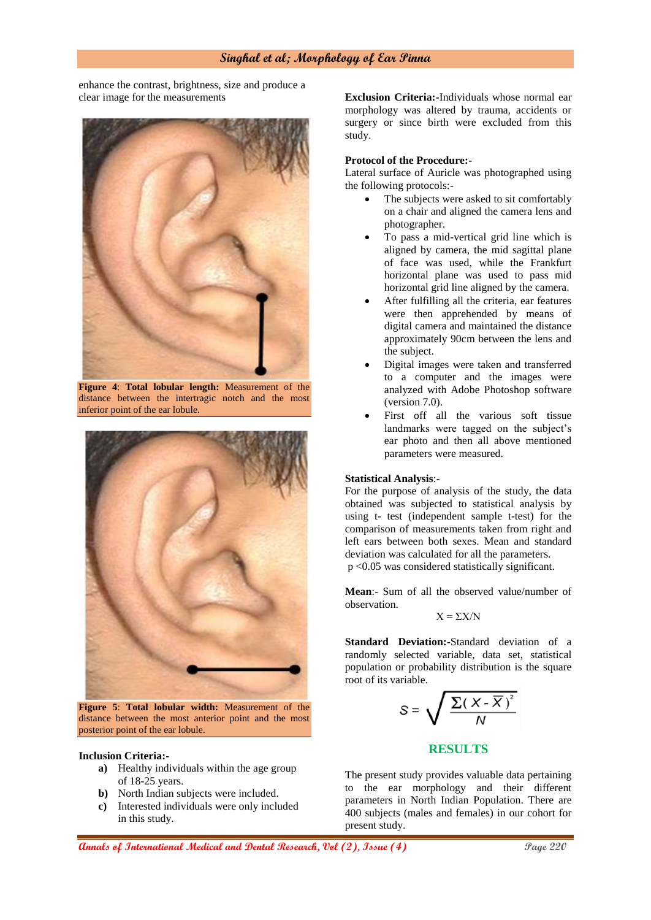enhance the contrast, brightness, size and produce a clear image for the measurements



**Figure 4**: **Total lobular length:** Measurement of the distance between the intertragic notch and the most inferior point of the ear lobule.



**Figure 5**: **Total lobular width:** Measurement of the distance between the most anterior point and the most posterior point of the ear lobule.

#### **Inclusion Criteria:-**

- **a)** Healthy individuals within the age group of 18-25 years.
- **b)** North Indian subjects were included.
- **c)** Interested individuals were only included in this study.

**Exclusion Criteria:-**Individuals whose normal ear morphology was altered by trauma, accidents or surgery or since birth were excluded from this study.

#### **Protocol of the Procedure:-**

Lateral surface of Auricle was photographed using the following protocols:-

- The subjects were asked to sit comfortably on a chair and aligned the camera lens and photographer.
- To pass a mid-vertical grid line which is aligned by camera, the mid sagittal plane of face was used, while the Frankfurt horizontal plane was used to pass mid horizontal grid line aligned by the camera.
- After fulfilling all the criteria, ear features were then apprehended by means of digital camera and maintained the distance approximately 90cm between the lens and the subject.
- Digital images were taken and transferred to a computer and the images were analyzed with Adobe Photoshop software (version 7.0).
- First off all the various soft tissue landmarks were tagged on the subject's ear photo and then all above mentioned parameters were measured.

#### **Statistical Analysis**:-

For the purpose of analysis of the study, the data obtained was subjected to statistical analysis by using t- test (independent sample t-test) for the comparison of measurements taken from right and left ears between both sexes. Mean and standard deviation was calculated for all the parameters. p <0.05 was considered statistically significant.

**Mean**:- Sum of all the observed value/number of observation.

$$
X = \Sigma X / N
$$

**Standard Deviation:-**Standard deviation of a randomly selected variable, data set, statistical population or probability distribution is the square root of its variable.

$$
S = \sqrt{\frac{\sum (X - \overline{X})^2}{N}}
$$

## **RESULTS**

The present study provides valuable data pertaining to the ear morphology and their different parameters in North Indian Population. There are 400 subjects (males and females) in our cohort for present study.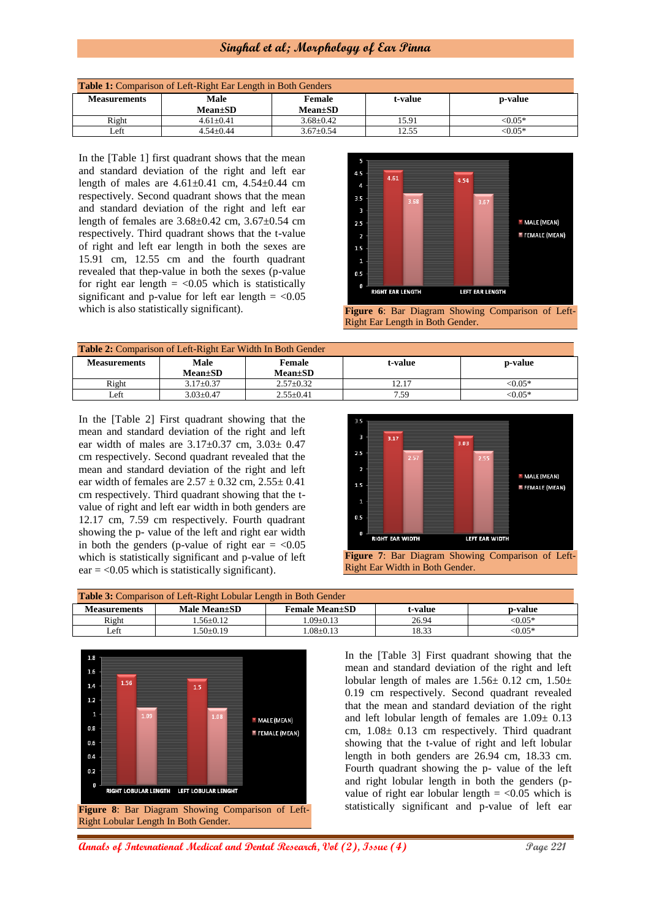| <b>Table 1:</b> Comparison of Left-Right Ear Length in Both Genders |                        |                                |         |                 |
|---------------------------------------------------------------------|------------------------|--------------------------------|---------|-----------------|
| <b>Measurements</b>                                                 | Male<br><b>Mean±SD</b> | <b>Female</b><br>$Mean \pm SD$ | t-value | <b>p</b> -value |
| Right                                                               | $4.61 + 0.41$          | $3.68 + 0.42$                  | 15.91   | $< 0.05*$       |
| Left                                                                | $4.54+0.44$            | $3.67 \pm 0.54$                | 12.55   | $< 0.05*$       |

In the [Table 1] first quadrant shows that the mean and standard deviation of the right and left ear length of males are 4.61±0.41 cm, 4.54±0.44 cm respectively. Second quadrant shows that the mean and standard deviation of the right and left ear length of females are 3.68±0.42 cm, 3.67±0.54 cm respectively. Third quadrant shows that the t-value of right and left ear length in both the sexes are 15.91 cm, 12.55 cm and the fourth quadrant revealed that thep-value in both the sexes (p-value for right ear length  $=$  <0.05 which is statistically significant and p-value for left ear length  $=$  <0.05



which is also statistically significant). **Figure 6:** Bar Diagram Showing Comparison of Left-Right Ear Length in Both Gender.

| <b>Table 2:</b> Comparison of Left-Right Ear Width In Both Gender |                                             |               |       |          |
|-------------------------------------------------------------------|---------------------------------------------|---------------|-------|----------|
| Measurements                                                      | Male<br><b>Female</b><br>t-value<br>p-value |               |       |          |
|                                                                   | $Mean \pm SD$                               | $Mean \pm SD$ |       |          |
| Right                                                             | $3.17 \pm 0.37$                             | $2.57+0.32$   | 12.17 | $<0.05*$ |
| Left                                                              | $3.03 + 0.47$                               | $2.55+0.41$   | 7.59  | $<0.05*$ |

In the [Table 2] First quadrant showing that the mean and standard deviation of the right and left ear width of males are  $3.17 \pm 0.37$  cm,  $3.03 \pm 0.47$ cm respectively. Second quadrant revealed that the mean and standard deviation of the right and left ear width of females are  $2.57 \pm 0.32$  cm,  $2.55 \pm 0.41$ cm respectively. Third quadrant showing that the tvalue of right and left ear width in both genders are 12.17 cm, 7.59 cm respectively. Fourth quadrant showing the p- value of the left and right ear width in both the genders (p-value of right ear  $=$  <0.05 which is statistically significant and p-value of left  $ear = <0.05$  which is statistically significant).



**Figure 7**: Bar Diagram Showing Comparison of Left-Right Ear Width in Both Gender.

| <b>Table 3:</b> Comparison of Left-Right Lobular Length in Both Gender |                |                         |         |            |
|------------------------------------------------------------------------|----------------|-------------------------|---------|------------|
| <b>Measurements</b>                                                    | Male Mean±SD   | <b>Female Mean</b> + SD | t-value | p-value    |
| Right                                                                  | $-56+0.12$     | $0.09 + 0.13$           | 26.94   | $<0.05*$   |
| Left                                                                   | $.50 \pm 0.19$ | $.08+0.13$              | 18.33   | ${<}0.05*$ |



In the [Table 3] First quadrant showing that the mean and standard deviation of the right and left lobular length of males are  $1.56 \pm 0.12$  cm,  $1.50 \pm 1.50$ 0.19 cm respectively. Second quadrant revealed that the mean and standard deviation of the right and left lobular length of females are 1.09± 0.13 cm, 1.08± 0.13 cm respectively. Third quadrant showing that the t-value of right and left lobular length in both genders are 26.94 cm, 18.33 cm. Fourth quadrant showing the p- value of the left and right lobular length in both the genders (pvalue of right ear lobular length  $=$  <0.05 which is statistically significant and p-value of left ear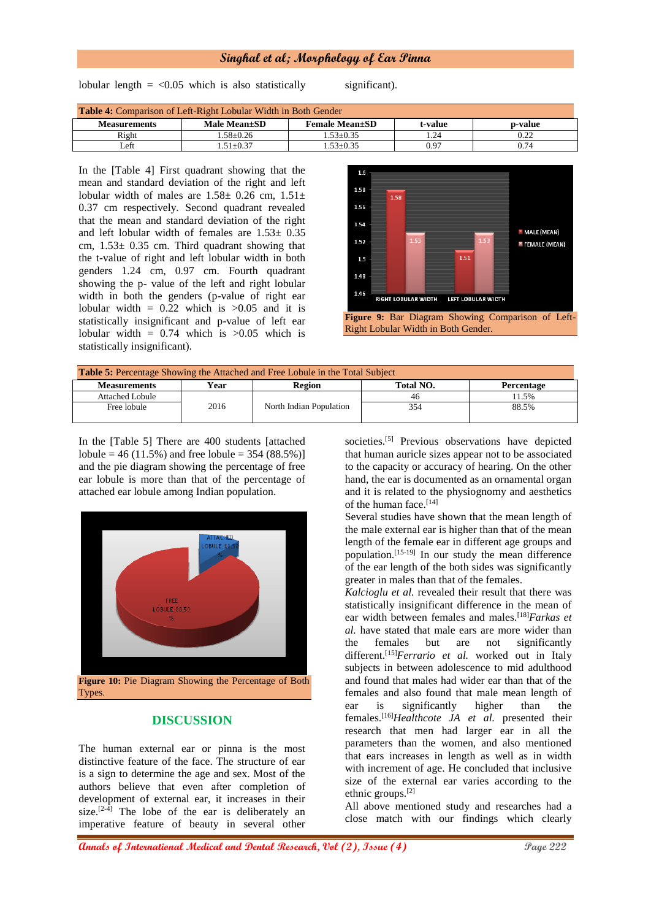lobular length  $=$  <0.05 which is also statistically significant).

| <b>Table 4:</b> Comparison of Left-Right Lobular Width in Both Gender |              |                        |         |         |
|-----------------------------------------------------------------------|--------------|------------------------|---------|---------|
| <b>Measurements</b>                                                   | Male Mean±SD | <b>Female Mean</b> ±SD | t-value | p-value |
| Right                                                                 | $-58+0.26$   | $1.53 + 0.35$          | .24     | 0.22    |
| ∟eft                                                                  | $.51 + 0.37$ | $.53+0.35$             | 0.97    | 0.74    |

In the [Table 4] First quadrant showing that the mean and standard deviation of the right and left lobular width of males are  $1.58 \pm 0.26$  cm,  $1.51 \pm$ 0.37 cm respectively. Second quadrant revealed that the mean and standard deviation of the right and left lobular width of females are 1.53± 0.35 cm,  $1.53 \pm 0.35$  cm. Third quadrant showing that the t-value of right and left lobular width in both genders 1.24 cm, 0.97 cm. Fourth quadrant showing the p- value of the left and right lobular width in both the genders (p-value of right ear lobular width  $= 0.22$  which is  $>0.05$  and it is statistically insignificant and p-value of left ear lobular width  $= 0.74$  which is  $>0.05$  which is statistically insignificant).



Right Lobular Width in Both Gender.

| <b>Table 5:</b> Percentage Showing the Attached and Free Lobule in the Total Subject |      |                         |           |                   |
|--------------------------------------------------------------------------------------|------|-------------------------|-----------|-------------------|
| <b>Measurements</b>                                                                  | Year | Region                  | Total NO. | <b>Percentage</b> |
| Attached Lobule                                                                      |      |                         | 46        | 11.5%             |
| Free lobule                                                                          | 2016 | North Indian Population | 354       | 88.5%             |

In the [Table 5] There are 400 students [attached lobule = 46 (11.5%) and free lobule = 354 (88.5%)] and the pie diagram showing the percentage of free ear lobule is more than that of the percentage of attached ear lobule among Indian population.



Types.

## **DISCUSSION**

The human external ear or pinna is the most distinctive feature of the face. The structure of ear is a sign to determine the age and sex. Most of the authors believe that even after completion of development of external ear, it increases in their size.<sup>[2-4]</sup> The lobe of the ear is deliberately an imperative feature of beauty in several other

societies.<sup>[5]</sup> Previous observations have depicted that human auricle sizes appear not to be associated to the capacity or accuracy of hearing. On the other hand, the ear is documented as an ornamental organ and it is related to the physiognomy and aesthetics of the human face.<sup>[14]</sup>

Several studies have shown that the mean length of the male external ear is higher than that of the mean length of the female ear in different age groups and population.[15-19] In our study the mean difference of the ear length of the both sides was significantly greater in males than that of the females.

*Kalcioglu et al.* revealed their result that there was statistically insignificant difference in the mean of ear width between females and males.[18]*Farkas et al.* have stated that male ears are more wider than the females but are not significantly different.[15]*Ferrario et al.* worked out in Italy subjects in between adolescence to mid adulthood and found that males had wider ear than that of the females and also found that male mean length of ear is significantly higher than the females.[16]*Healthcote JA et al.* presented their research that men had larger ear in all the parameters than the women, and also mentioned that ears increases in length as well as in width with increment of age. He concluded that inclusive size of the external ear varies according to the ethnic groups.[2]

All above mentioned study and researches had a close match with our findings which clearly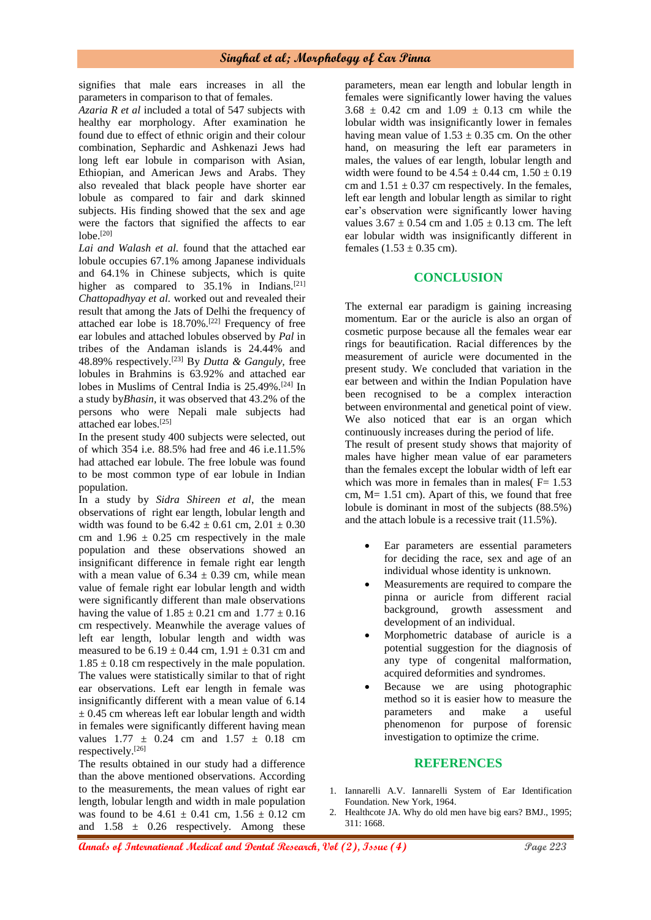signifies that male ears increases in all the parameters in comparison to that of females.

*Azaria R et al* included a total of 547 subjects with healthy ear morphology. After examination he found due to effect of ethnic origin and their colour combination, Sephardic and Ashkenazi Jews had long left ear lobule in comparison with Asian, Ethiopian, and American Jews and Arabs. They also revealed that black people have shorter ear lobule as compared to fair and dark skinned subjects. His finding showed that the sex and age were the factors that signified the affects to ear lobe.[20]

*Lai and Walash et al.* found that the attached ear lobule occupies 67.1% among Japanese individuals and 64.1% in Chinese subjects, which is quite higher as compared to 35.1% in Indians.<sup>[21]</sup> *Chattopadhyay et al.* worked out and revealed their result that among the Jats of Delhi the frequency of attached ear lobe is 18.70%.[22] Frequency of free ear lobules and attached lobules observed by *Pal* in tribes of the Andaman islands is 24.44% and 48.89% respectively.[23] By *Dutta & Ganguly,* free lobules in Brahmins is 63.92% and attached ear lobes in Muslims of Central India is 25.49%.[24] In a study by*Bhasin,* it was observed that 43.2% of the persons who were Nepali male subjects had attached ear lobes.[25]

In the present study 400 subjects were selected, out of which 354 i.e. 88.5% had free and 46 i.e.11.5% had attached ear lobule. The free lobule was found to be most common type of ear lobule in Indian population.

In a study by *Sidra Shireen et al*, the mean observations of right ear length, lobular length and width was found to be  $6.42 \pm 0.61$  cm,  $2.01 \pm 0.30$ cm and  $1.96 \pm 0.25$  cm respectively in the male population and these observations showed an insignificant difference in female right ear length with a mean value of  $6.34 \pm 0.39$  cm, while mean value of female right ear lobular length and width were significantly different than male observations having the value of  $1.85 \pm 0.21$  cm and  $1.77 \pm 0.16$ cm respectively. Meanwhile the average values of left ear length, lobular length and width was measured to be  $6.19 \pm 0.44$  cm,  $1.91 \pm 0.31$  cm and  $1.85 \pm 0.18$  cm respectively in the male population. The values were statistically similar to that of right ear observations. Left ear length in female was insignificantly different with a mean value of 6.14  $\pm$  0.45 cm whereas left ear lobular length and width in females were significantly different having mean values  $1.77 \pm 0.24$  cm and  $1.57 \pm 0.18$  cm respectively.[26]

The results obtained in our study had a difference than the above mentioned observations. According to the measurements, the mean values of right ear length, lobular length and width in male population was found to be  $4.61 \pm 0.41$  cm,  $1.56 \pm 0.12$  cm and  $1.58 \pm 0.26$  respectively. Among these

parameters, mean ear length and lobular length in females were significantly lower having the values  $3.68 \pm 0.42$  cm and  $1.09 \pm 0.13$  cm while the lobular width was insignificantly lower in females having mean value of  $1.53 \pm 0.35$  cm. On the other hand, on measuring the left ear parameters in males, the values of ear length, lobular length and width were found to be  $4.54 \pm 0.44$  cm,  $1.50 \pm 0.19$ cm and  $1.51 \pm 0.37$  cm respectively. In the females, left ear length and lobular length as similar to right ear's observation were significantly lower having values  $3.67 \pm 0.54$  cm and  $1.05 \pm 0.13$  cm. The left ear lobular width was insignificantly different in females  $(1.53 \pm 0.35 \text{ cm})$ .

## **CONCLUSION**

The external ear paradigm is gaining increasing momentum. Ear or the auricle is also an organ of cosmetic purpose because all the females wear ear rings for beautification. Racial differences by the measurement of auricle were documented in the present study. We concluded that variation in the ear between and within the Indian Population have been recognised to be a complex interaction between environmental and genetical point of view. We also noticed that ear is an organ which continuously increases during the period of life. The result of present study shows that majority of males have higher mean value of ear parameters than the females except the lobular width of left ear which was more in females than in males( $F = 1.53$ cm, M= 1.51 cm). Apart of this, we found that free lobule is dominant in most of the subjects (88.5%) and the attach lobule is a recessive trait (11.5%).

- Ear parameters are essential parameters for deciding the race, sex and age of an individual whose identity is unknown.
- Measurements are required to compare the pinna or auricle from different racial background, growth assessment and development of an individual.
- Morphometric database of auricle is a potential suggestion for the diagnosis of any type of congenital malformation, acquired deformities and syndromes.
- Because we are using photographic method so it is easier how to measure the parameters and make a useful phenomenon for purpose of forensic investigation to optimize the crime.

## **REFERENCES**

- 1. Iannarelli A.V. Iannarelli System of Ear Identification Foundation. New York, 1964.
- 2. Healthcote JA. Why do old men have big ears? BMJ., 1995; 311: 1668.